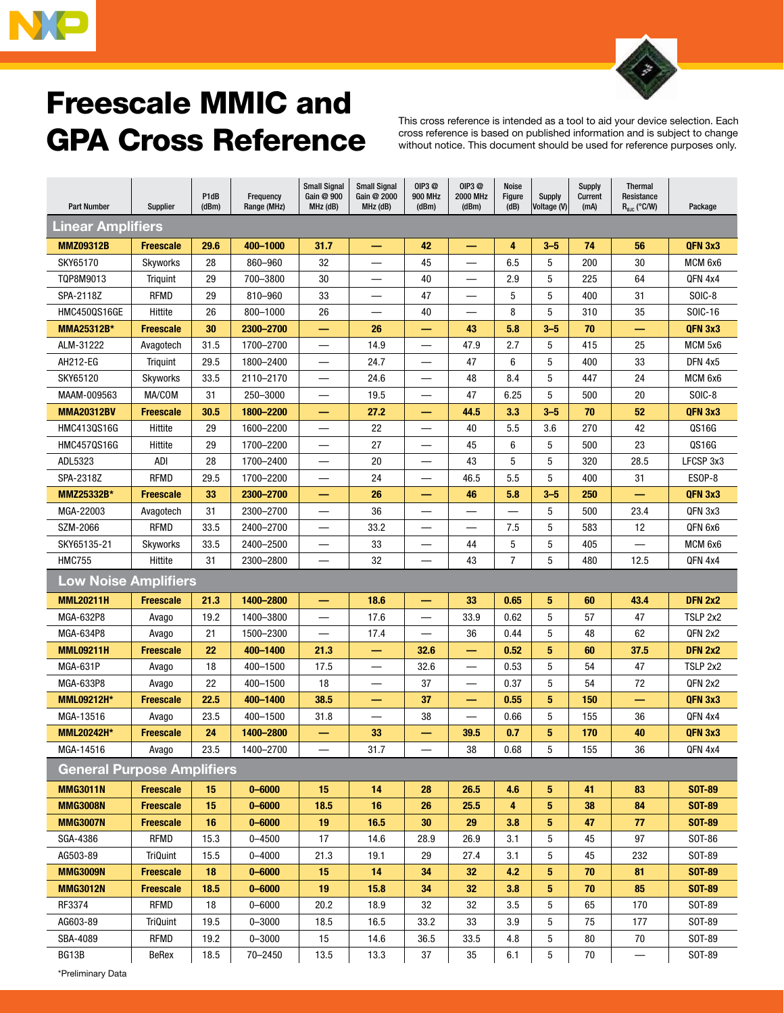



## Freescale MMIC and GPA Cross Reference

This cross reference is intended as a tool to aid your device selection. Each cross reference is based on published information and is subject to change without notice. This document should be used for reference purposes only.

| <b>Part Number</b>                | Supplier         | P1dB<br>(dBm) | Frequency<br>Range (MHz) | <b>Small Signal</b><br>Gain @ 900<br>MHz (dB) | <b>Small Signal</b><br>Gain @ 2000<br>MHz (dB) | 0IP3@<br><b>900 MHz</b><br>(dBm) | 0IP3@<br><b>2000 MHz</b><br>(dBm) | Noise<br>Figure<br>(dB) | <b>Supply</b><br>Voltage (V) | <b>Supply</b><br>Current<br>(mA) | Thermal<br>Resistance<br>$R_{0JC}$ (°C/W) | Package            |
|-----------------------------------|------------------|---------------|--------------------------|-----------------------------------------------|------------------------------------------------|----------------------------------|-----------------------------------|-------------------------|------------------------------|----------------------------------|-------------------------------------------|--------------------|
| <b>Linear Amplifiers</b>          |                  |               |                          |                                               |                                                |                                  |                                   |                         |                              |                                  |                                           |                    |
| <b>MMZ09312B</b>                  | <b>Freescale</b> | 29.6          | 400-1000                 | 31.7                                          | —                                              | 42                               | —<br>—                            | 4                       | $3 - 5$                      | 74                               | 56                                        | <b>OFN 3x3</b>     |
| SKY65170                          | Skyworks         | 28            | 860-960                  | 32                                            |                                                | 45                               | $\overline{\phantom{0}}$          | 6.5                     | 5                            | 200                              | 30                                        | MCM <sub>6x6</sub> |
| TQP8M9013                         | Triquint         | 29            | 700-3800                 | 30                                            |                                                | 40                               |                                   | 2.9                     | 5                            | 225                              | 64                                        | QFN 4x4            |
| SPA-2118Z                         | <b>RFMD</b>      | 29            | 810-960                  | 33                                            |                                                | 47                               |                                   | 5                       | 5                            | 400                              | 31                                        | SOIC-8             |
| <b>HMC450QS16GE</b>               | Hittite          | 26            | 800-1000                 | 26                                            |                                                | 40                               |                                   | 8                       | 5                            | 310                              | 35                                        | SOIC-16            |
| MMA25312B*                        | <b>Freescale</b> | 30            | 2300-2700                |                                               | 26                                             |                                  | 43                                | 5.8                     | $3 - 5$                      | 70                               |                                           | QFN 3x3            |
| ALM-31222                         | Avagotech        | 31.5          | 1700-2700                | $\overline{\phantom{0}}$                      | 14.9                                           | $\equiv$                         | 47.9                              | 2.7                     | 5                            | 415                              | 25                                        | MCM 5x6            |
| AH212-EG                          | Triquint         | 29.5          | 1800-2400                |                                               | 24.7                                           |                                  | 47                                | 6                       | 5                            | 400                              | 33                                        | DFN 4x5            |
| SKY65120                          | Skyworks         | 33.5          | 2110-2170                |                                               | 24.6                                           |                                  | 48                                | 8.4                     | 5                            | 447                              | 24                                        | MCM <sub>6x6</sub> |
| MAAM-009563                       | MA/COM           | 31            | 250-3000                 |                                               | 19.5                                           |                                  | 47                                | 6.25                    | 5                            | 500                              | 20                                        | SOIC-8             |
| <b>MMA20312BV</b>                 | <b>Freescale</b> | 30.5          | 1800-2200                | -                                             | 27.2                                           |                                  | 44.5                              | 3.3                     | $3 - 5$                      | 70                               | 52                                        | QFN 3x3            |
| HMC413QS16G                       | Hittite          | 29            | 1600-2200                | —                                             | 22                                             | $\overline{\phantom{0}}$         | 40                                | 5.5                     | 3.6                          | 270                              | 42                                        | QS16G              |
| HMC4570S16G                       | Hittite          | 29            | 1700-2200                | —                                             | 27                                             | $\overline{\phantom{0}}$         | 45                                | 6                       | 5                            | 500                              | 23                                        | QS16G              |
| ADL5323                           | ADI              | 28            | 1700-2400                | —                                             | 20                                             |                                  | 43                                | 5                       | 5                            | 320                              | 28.5                                      | LFCSP 3x3          |
| SPA-2318Z                         | <b>RFMD</b>      | 29.5          | 1700-2200                |                                               | 24                                             |                                  | 46.5                              | 5.5                     | 5                            | 400                              | 31                                        | ESOP-8             |
| MMZ25332B*                        | <b>Freescale</b> | 33            | 2300-2700                |                                               | 26                                             |                                  | 46                                | 5.8                     | $3 - 5$                      | 250                              |                                           | <b>OFN 3x3</b>     |
| MGA-22003                         | Avagotech        | 31            | 2300-2700                | —                                             | 36                                             |                                  |                                   |                         | 5                            | 500                              | 23.4                                      | QFN 3x3            |
| SZM-2066                          | <b>RFMD</b>      | 33.5          | 2400-2700                | —                                             | 33.2                                           | —                                | —<br>—                            | 7.5                     | 5                            | 583                              | 12                                        | QFN 6x6            |
| SKY65135-21                       | Skyworks         | 33.5          | 2400-2500                |                                               | 33                                             |                                  | 44                                | 5                       | 5                            | 405                              |                                           | MCM 6x6            |
| <b>HMC755</b>                     | Hittite          | 31            | 2300-2800                |                                               | 32                                             |                                  | 43                                | $\overline{7}$          | 5                            | 480                              | 12.5                                      | QFN 4x4            |
| <b>Low Noise Amplifiers</b>       |                  |               |                          |                                               |                                                |                                  |                                   |                         |                              |                                  |                                           |                    |
| <b>MML20211H</b>                  | <b>Freescale</b> | 21.3          | 1400-2800                |                                               | 18.6                                           | —                                | 33                                | 0.65                    | 5                            | 60                               | 43.4                                      | <b>DFN 2x2</b>     |
| MGA-632P8                         | Avago            | 19.2          | 1400-3800                |                                               | 17.6                                           |                                  | 33.9                              | 0.62                    | 5                            | 57                               | 47                                        | TSLP 2x2           |
| MGA-634P8                         | Avago            | 21            | 1500-2300                | —                                             | 17.4                                           |                                  | 36                                | 0.44                    | 5                            | 48                               | 62                                        | QFN 2x2            |
| <b>MML09211H</b>                  | <b>Freescale</b> | 22            | 400-1400                 | 21.3                                          | —                                              | 32.6                             | —<br>—                            | 0.52                    | 5                            | 60                               | 37.5                                      | <b>DFN 2x2</b>     |
| <b>MGA-631P</b>                   | Avago            | 18            | 400-1500                 | 17.5                                          | —                                              | 32.6                             | —                                 | 0.53                    | 5                            | 54                               | 47                                        | TSLP 2x2           |
| MGA-633P8                         | Avago            | 22            | 400-1500                 | 18                                            | —                                              | 37                               | -                                 | 0.37                    | 5                            | 54                               | 72                                        | QFN 2x2            |
| MML09212H*                        | <b>Freescale</b> | 22.5          | 400-1400                 | 38.5                                          |                                                | 37                               | e.                                | 0.55                    | 5                            | 150                              |                                           | QFN 3x3            |
| MGA-13516                         | Avago            | 23.5          | 400-1500                 | 31.8                                          |                                                | 38                               |                                   | 0.66                    | 5                            | 155                              | 36                                        | QFN 4x4            |
| <b>MML20242H*</b>                 | <b>Freescale</b> | 24            | 1400-2800                |                                               | 33                                             |                                  | 39.5                              | 0.7                     | 5                            | 170                              | 40                                        | <b>QFN 3x3</b>     |
| MGA-14516                         | Avago            | 23.5          | 1400-2700                |                                               | 31.7                                           |                                  | 38                                | 0.68                    | 5                            | 155                              | 36                                        | QFN 4x4            |
| <b>General Purpose Amplifiers</b> |                  |               |                          |                                               |                                                |                                  |                                   |                         |                              |                                  |                                           |                    |
| <b>MMG3011N</b>                   | <b>Freescale</b> | 15            | $0 - 6000$               | 15                                            | 14                                             | 28                               | 26.5                              | 4.6                     | 5                            | 41                               | 83                                        | <b>SOT-89</b>      |
| <b>MMG3008N</b>                   | <b>Freescale</b> | 15            | $0 - 6000$               | 18.5                                          | 16                                             | 26                               | 25.5                              | 4                       | 5                            | 38                               | 84                                        | <b>SOT-89</b>      |
| <b>MMG3007N</b>                   | <b>Freescale</b> | 16            | $0 - 6000$               | 19                                            | 16.5                                           | 30                               | 29                                | 3.8                     | 5                            | 47                               | 77                                        | <b>SOT-89</b>      |
| SGA-4386                          | <b>RFMD</b>      | 15.3          | $0 - 4500$               | 17                                            | 14.6                                           | 28.9                             | 26.9                              | 3.1                     | 5                            | 45                               | 97                                        | SOT-86             |
| AG503-89                          | <b>TriQuint</b>  | 15.5          | $0 - 4000$               | 21.3                                          | 19.1                                           | 29                               | 27.4                              | 3.1                     | 5                            | 45                               | 232                                       | SOT-89             |
| <b>MMG3009N</b>                   | <b>Freescale</b> | 18            | $0 - 6000$               | 15                                            | 14                                             | 34                               | 32                                | 4.2                     | 5                            | 70                               | 81                                        | <b>SOT-89</b>      |
| <b>MMG3012N</b>                   | <b>Freescale</b> | 18.5          | $0 - 6000$               | 19                                            | 15.8                                           | 34                               | 32                                | 3.8                     | 5                            | 70                               | 85                                        | <b>SOT-89</b>      |
| RF3374                            | <b>RFMD</b>      | 18            | $0 - 6000$               | 20.2                                          | 18.9                                           | 32                               | 32                                | 3.5                     | 5                            | 65                               | 170                                       | SOT-89             |
| AG603-89                          | <b>TriQuint</b>  | 19.5          | $0 - 3000$               | 18.5                                          | 16.5                                           | 33.2                             | 33                                | 3.9                     | 5                            | 75                               | 177                                       | SOT-89             |
| SBA-4089                          | <b>RFMD</b>      | 19.2          | $0 - 3000$               | 15                                            | 14.6                                           | 36.5                             | 33.5                              | 4.8                     | 5                            | 80                               | 70                                        | SOT-89             |
| BG13B                             | BeRex            | 18.5          | 70-2450                  | 13.5                                          | 13.3                                           | 37                               | 35                                | 6.1                     | 5                            | 70                               |                                           | SOT-89             |

\*Preliminary Data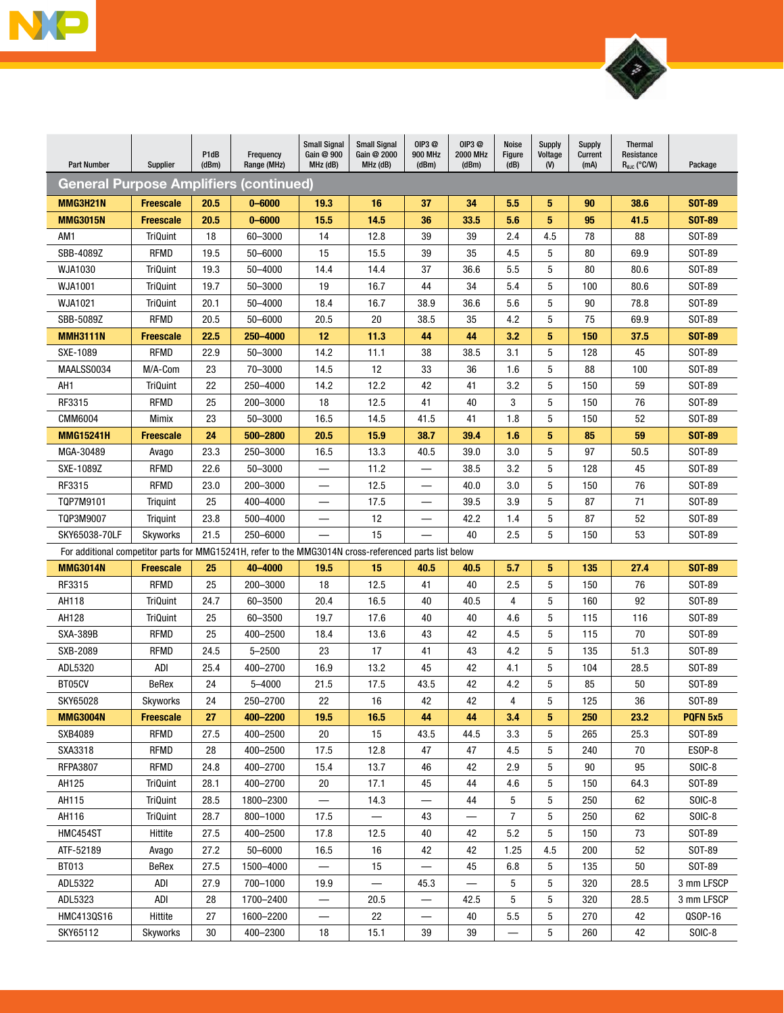



| <b>Part Number</b>                                                                                     | Supplier         | P1dB<br>(dBm) | Frequency<br>Range (MHz) | <b>Small Signal</b><br>Gain @ 900<br>MHz (dB) | <b>Small Signal</b><br>Gain @ 2000<br>MHz (dB) | 0IP3@<br><b>900 MHz</b><br>(dBm) | 0IP3@<br><b>2000 MHz</b><br>(dBm) | <b>Noise</b><br>Figure<br>(dB) | <b>Supply</b><br>Voltage<br>(V) | <b>Supply</b><br>Current<br>(mA) | <b>Thermal</b><br>Resistance<br>$R_{0JC}$ (°C/W) | Package       |
|--------------------------------------------------------------------------------------------------------|------------------|---------------|--------------------------|-----------------------------------------------|------------------------------------------------|----------------------------------|-----------------------------------|--------------------------------|---------------------------------|----------------------------------|--------------------------------------------------|---------------|
| <b>General Purpose Amplifiers (continued)</b>                                                          |                  |               |                          |                                               |                                                |                                  |                                   |                                |                                 |                                  |                                                  |               |
| MMG3H21N                                                                                               | <b>Freescale</b> | 20.5          | $0 - 6000$               | 19.3                                          | 16                                             | 37                               | 34                                | 5.5                            | 5                               | 90                               | 38.6                                             | SOT-89        |
| <b>MMG3015N</b>                                                                                        | <b>Freescale</b> | 20.5          | $0 - 6000$               | 15.5                                          | 14.5                                           | 36                               | 33.5                              | 5.6                            | 5                               | 95                               | 41.5                                             | <b>SOT-89</b> |
| AM1                                                                                                    | <b>TriQuint</b>  | 18            | 60-3000                  | 14                                            | 12.8                                           | 39                               | 39                                | 2.4                            | 4.5                             | 78                               | 88                                               | SOT-89        |
| SBB-4089Z                                                                                              | <b>RFMD</b>      | 19.5          | 50-6000                  | 15                                            | 15.5                                           | 39                               | 35                                | 4.5                            | 5                               | 80                               | 69.9                                             | SOT-89        |
| <b>WJA1030</b>                                                                                         | <b>TriQuint</b>  | 19.3          | 50-4000                  | 14.4                                          | 14.4                                           | 37                               | 36.6                              | 5.5                            | 5                               | 80                               | 80.6                                             | SOT-89        |
| <b>WJA1001</b>                                                                                         | <b>TriQuint</b>  | 19.7          | 50-3000                  | 19                                            | 16.7                                           | 44                               | 34                                | 5.4                            | 5                               | 100                              | 80.6                                             | SOT-89        |
| WJA1021                                                                                                | <b>TriQuint</b>  | 20.1          | 50-4000                  | 18.4                                          | 16.7                                           | 38.9                             | 36.6                              | 5.6                            | 5                               | 90                               | 78.8                                             | SOT-89        |
| SBB-5089Z                                                                                              | <b>RFMD</b>      | 20.5          | 50-6000                  | 20.5                                          | 20                                             | 38.5                             | 35                                | 4.2                            | 5                               | 75                               | 69.9                                             | SOT-89        |
| <b>MMH3111N</b>                                                                                        | <b>Freescale</b> | 22.5          | 250-4000                 | 12                                            | 11.3                                           | 44                               | 44                                | 3.2                            | 5                               | 150                              | 37.5                                             | <b>SOT-89</b> |
| SXE-1089                                                                                               | <b>RFMD</b>      | 22.9          | 50-3000                  | 14.2                                          | 11.1                                           | 38                               | 38.5                              | 3.1                            | 5                               | 128                              | 45                                               | SOT-89        |
| MAALSS0034                                                                                             | M/A-Com          | 23            | 70-3000                  | 14.5                                          | 12                                             | 33                               | 36                                | 1.6                            | 5                               | 88                               | 100                                              | SOT-89        |
| AH1                                                                                                    | <b>TriQuint</b>  | 22            | 250-4000                 | 14.2                                          | 12.2                                           | 42                               | 41                                | 3.2                            | 5                               | 150                              | 59                                               | SOT-89        |
| RF3315                                                                                                 | <b>RFMD</b>      | 25            | 200-3000                 | 18                                            | 12.5                                           | 41                               | 40                                | 3                              | 5                               | 150                              | 76                                               | SOT-89        |
| CMM6004                                                                                                | <b>Mimix</b>     | 23            | 50-3000                  | 16.5                                          | 14.5                                           | 41.5                             | 41                                | 1.8                            | 5                               | 150                              | 52                                               | SOT-89        |
| <b>MMG15241H</b>                                                                                       | <b>Freescale</b> | 24            | 500-2800                 | 20.5                                          | 15.9                                           | 38.7                             | 39.4                              | 1.6                            | 5                               | 85                               | 59                                               | <b>SOT-89</b> |
| MGA-30489                                                                                              | Avago            | 23.3          | 250-3000                 | 16.5                                          | 13.3                                           | 40.5                             | 39.0                              | 3.0                            | 5                               | 97                               | 50.5                                             | SOT-89        |
| SXE-1089Z                                                                                              | <b>RFMD</b>      | 22.6          | $50 - 3000$              | —                                             | 11.2                                           | $\overline{\phantom{0}}$         | 38.5                              | 3.2                            | 5                               | 128                              | 45                                               | SOT-89        |
| RF3315                                                                                                 | <b>RFMD</b>      | 23.0          | 200-3000                 | —                                             | 12.5                                           |                                  | 40.0                              | 3.0                            | 5                               | 150                              | 76                                               | SOT-89        |
| TQP7M9101                                                                                              | <b>Triguint</b>  | 25            | 400-4000                 |                                               | 17.5                                           |                                  | 39.5                              | 3.9                            | 5                               | 87                               | 71                                               | SOT-89        |
| TQP3M9007                                                                                              | Triquint         | 23.8          | 500-4000                 |                                               | 12                                             |                                  | 42.2                              | 1.4                            | 5                               | 87                               | 52                                               | SOT-89        |
| SKY65038-70LF                                                                                          | Skyworks         | 21.5          | 250-6000                 |                                               | 15                                             |                                  | 40                                | 2.5                            | 5                               | 150                              | 53                                               | SOT-89        |
| For additional competitor parts for MMG15241H, refer to the MMG3014N cross-referenced parts list below |                  |               |                          |                                               |                                                |                                  |                                   |                                |                                 |                                  |                                                  |               |
| <b>MMG3014N</b>                                                                                        | <b>Freescale</b> | 25            | 40-4000                  | 19.5                                          | 15                                             | 40.5                             | 40.5                              | 5.7                            | 5                               | 135                              | 27.4                                             | <b>SOT-89</b> |
| RF3315                                                                                                 | <b>RFMD</b>      | 25            | 200-3000                 | 18                                            | 12.5                                           | 41                               | 40                                | 2.5                            | 5                               | 150                              | 76                                               | SOT-89        |
| AH118                                                                                                  | <b>TriQuint</b>  | 24.7          | 60-3500                  | 20.4                                          | 16.5                                           | 40                               | 40.5                              | 4                              | 5                               | 160                              | 92                                               | SOT-89        |
| AH128                                                                                                  | <b>TriQuint</b>  | 25            | 60-3500                  | 19.7                                          | 17.6                                           | 40                               | 40                                | 4.6                            | 5                               | 115                              | 116                                              | SOT-89        |
| <b>SXA-389B</b>                                                                                        | RFMD             | 25            | 400-2500                 | 18.4                                          | 13.6                                           | 43                               | 42                                | 4.5                            | 5                               | 115                              | 70                                               | SOT-89        |
| SXB-2089                                                                                               | <b>RFMD</b>      | 24.5          | $5 - 2500$               | 23                                            | 17                                             | 41                               | 43                                | 4.2                            | 5                               | 135                              | 51.3                                             | SOT-89        |
| ADL5320                                                                                                | ADI              | 25.4          | 400-2700                 | 16.9                                          | 13.2                                           | 45                               | 42                                | 4.1                            | 5                               | 104                              | 28.5                                             | SOT-89        |
| BT05CV                                                                                                 | BeRex            | 24            | $5 - 4000$               | 21.5                                          | 17.5                                           | 43.5                             | 42                                | 4.2                            | 5                               | 85                               | 50                                               | SOT-89        |
| SKY65028                                                                                               | Skyworks         | 24            | 250-2700                 | 22                                            | 16                                             | 42                               | 42                                | 4                              | 5                               | 125                              | 36                                               | SOT-89        |
| <b>MMG3004N</b>                                                                                        | <b>Freescale</b> | 27            | 400-2200                 | 19.5                                          | 16.5                                           | 44                               | 44                                | 3.4                            | 5                               | 250                              | 23.2                                             | PQFN 5x5      |
| SXB4089                                                                                                | <b>RFMD</b>      | 27.5          | 400-2500                 | 20                                            | 15                                             | 43.5                             | 44.5                              | 3.3                            | 5                               | 265                              | 25.3                                             | SOT-89        |
| SXA3318                                                                                                | <b>RFMD</b>      | 28            | 400-2500                 | 17.5                                          | 12.8                                           | 47                               | 47                                | 4.5                            | 5                               | 240                              | 70                                               | ESOP-8        |
| <b>RFPA3807</b>                                                                                        | <b>RFMD</b>      | 24.8          | 400-2700                 | 15.4                                          | 13.7                                           | 46                               | 42                                | 2.9                            | 5                               | 90                               | 95                                               | SOIC-8        |
| AH125                                                                                                  | <b>TriQuint</b>  | 28.1          | 400-2700                 | 20                                            | 17.1                                           | 45                               | 44                                | 4.6                            | 5                               | 150                              | 64.3                                             | SOT-89        |
| AH115                                                                                                  | <b>TriQuint</b>  | 28.5          | 1800-2300                |                                               | 14.3                                           | $\equiv$                         | 44                                | 5                              | 5                               | 250                              | 62                                               | SOIC-8        |
| AH116                                                                                                  | <b>TriQuint</b>  | 28.7          | 800-1000                 | 17.5                                          |                                                | 43                               |                                   | $\overline{7}$                 | 5                               | 250                              | 62                                               | SOIC-8        |
| HMC454ST                                                                                               | Hittite          | 27.5          | 400-2500                 | 17.8                                          | 12.5                                           | 40                               | 42                                | 5.2                            | 5                               | 150                              | 73                                               | SOT-89        |
| ATF-52189                                                                                              | Avago            | 27.2          | 50-6000                  | 16.5                                          | 16                                             | 42                               | 42                                | 1.25                           | 4.5                             | 200                              | 52                                               | SOT-89        |
| BT013                                                                                                  | BeRex            | 27.5          | 1500-4000                |                                               | 15                                             |                                  | 45                                | 6.8                            | 5                               | 135                              | 50                                               | SOT-89        |
| ADL5322                                                                                                | adi              | 27.9          | 700-1000                 | 19.9                                          |                                                | 45.3                             |                                   | 5                              | 5                               | 320                              | 28.5                                             | 3 mm LFSCP    |
| ADL5323                                                                                                | adi              | 28            | 1700-2400                |                                               | 20.5                                           |                                  | 42.5                              | 5                              | 5                               | 320                              | 28.5                                             | 3 mm LFSCP    |
| HMC413QS16                                                                                             | Hittite          | 27            | 1600-2200                | $\overline{\phantom{0}}$                      | 22                                             | —                                | 40                                | 5.5                            | 5                               | 270                              | 42                                               | QS0P-16       |
| SKY65112                                                                                               | Skyworks         | 30            | 400-2300                 | 18                                            | 15.1                                           | 39                               | 39                                |                                | 5                               | 260                              | 42                                               | SOIC-8        |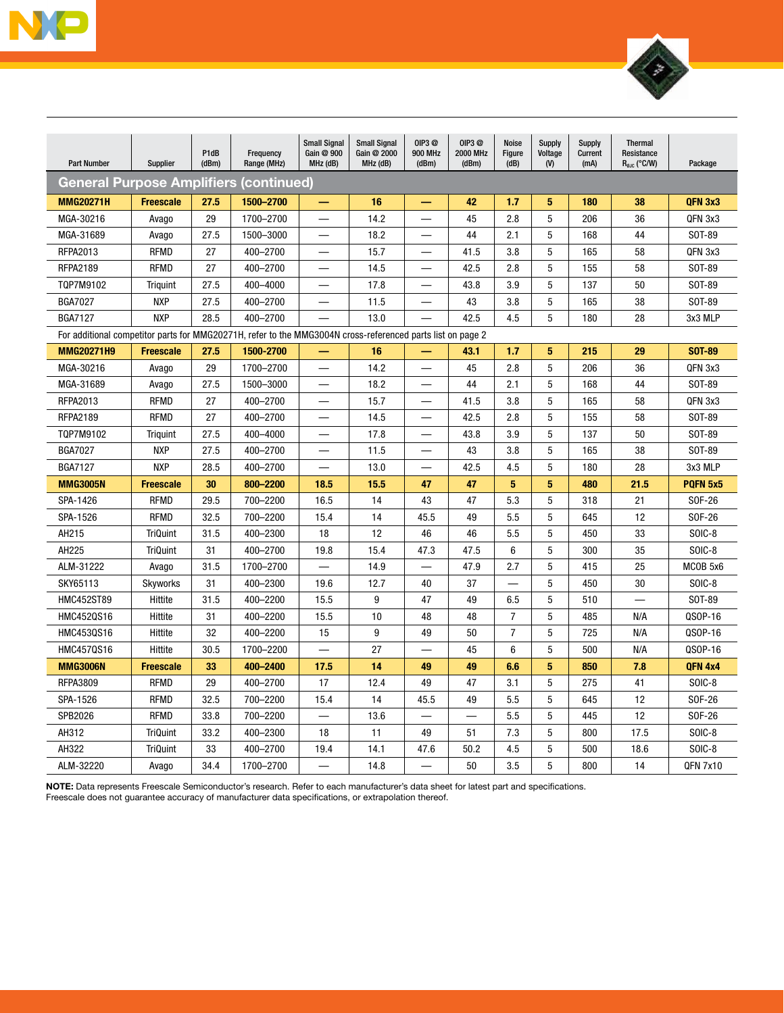



| <b>Part Number</b>                                                                                         | Supplier         | P1dB<br>(dBm) | Frequency<br>Range (MHz) | <b>Small Signal</b><br>Gain @ 900<br>MHz (dB) | <b>Small Signal</b><br>Gain @ 2000<br>MHz (dB) | 0IP3@<br><b>900 MHz</b><br>(dBm) | 0IP3@<br><b>2000 MHz</b><br>(dBm) | <b>Noise</b><br>Figure<br>(dB) | <b>Supply</b><br>Voltage<br>(V) | <b>Supply</b><br>Current<br>(mA) | <b>Thermal</b><br>Resistance<br>R <sub>øJC</sub> (°C/W) | Package             |
|------------------------------------------------------------------------------------------------------------|------------------|---------------|--------------------------|-----------------------------------------------|------------------------------------------------|----------------------------------|-----------------------------------|--------------------------------|---------------------------------|----------------------------------|---------------------------------------------------------|---------------------|
| <b>General Purpose Amplifiers (continued)</b>                                                              |                  |               |                          |                                               |                                                |                                  |                                   |                                |                                 |                                  |                                                         |                     |
| <b>MMG20271H</b>                                                                                           | <b>Freescale</b> | 27.5          | 1500-2700                | -                                             | 16                                             |                                  | 42                                | 1.7                            | 5                               | 180                              | 38                                                      | QFN 3x3             |
| MGA-30216                                                                                                  | Avago            | 29            | 1700-2700                | $\overline{\phantom{0}}$                      | 14.2                                           |                                  | 45                                | 2.8                            | 5                               | 206                              | 36                                                      | QFN 3x3             |
| MGA-31689                                                                                                  | Avago            | 27.5          | 1500-3000                |                                               | 18.2                                           |                                  | 44                                | 2.1                            | 5                               | 168                              | 44                                                      | SOT-89              |
| RFPA2013                                                                                                   | <b>RFMD</b>      | 27            | 400-2700                 | —                                             | 15.7                                           |                                  | 41.5                              | 3.8                            | 5                               | 165                              | 58                                                      | QFN 3x3             |
| <b>RFPA2189</b>                                                                                            | <b>RFMD</b>      | 27            | 400-2700                 |                                               | 14.5                                           |                                  | 42.5                              | 2.8                            | 5                               | 155                              | 58                                                      | SOT-89              |
| TQP7M9102                                                                                                  | <b>Triquint</b>  | 27.5          | 400-4000                 |                                               | 17.8                                           |                                  | 43.8                              | 3.9                            | 5                               | 137                              | 50                                                      | SOT-89              |
| <b>BGA7027</b>                                                                                             | <b>NXP</b>       | 27.5          | 400-2700                 |                                               | 11.5                                           |                                  | 43                                | 3.8                            | 5                               | 165                              | 38                                                      | SOT-89              |
| <b>BGA7127</b>                                                                                             | <b>NXP</b>       | 28.5          | 400-2700                 |                                               | 13.0                                           |                                  | 42.5                              | 4.5                            | 5                               | 180                              | 28                                                      | 3x3 MLP             |
| For additional competitor parts for MMG20271H, refer to the MMG3004N cross-referenced parts list on page 2 |                  |               |                          |                                               |                                                |                                  |                                   |                                |                                 |                                  |                                                         |                     |
| <b>MMG20271H9</b>                                                                                          | <b>Freescale</b> | 27.5          | 1500-2700                |                                               | 16                                             |                                  | 43.1                              | 1.7                            | 5                               | 215                              | 29                                                      | <b>SOT-89</b>       |
| MGA-30216                                                                                                  | Avago            | 29            | 1700-2700                |                                               | 14.2                                           |                                  | 45                                | 2.8                            | 5                               | 206                              | 36                                                      | QFN 3x3             |
| MGA-31689                                                                                                  | Avago            | 27.5          | 1500-3000                | $\overline{\phantom{0}}$                      | 18.2                                           | $\equiv$                         | 44                                | 2.1                            | 5                               | 168                              | 44                                                      | SOT-89              |
| RFPA2013                                                                                                   | <b>RFMD</b>      | 27            | 400-2700                 |                                               | 15.7                                           |                                  | 41.5                              | 3.8                            | 5                               | 165                              | 58                                                      | QFN 3x3             |
| <b>RFPA2189</b>                                                                                            | <b>RFMD</b>      | 27            | 400-2700                 | —                                             | 14.5                                           | $\qquad \qquad \qquad$           | 42.5                              | 2.8                            | 5                               | 155                              | 58                                                      | SOT-89              |
| TQP7M9102                                                                                                  | <b>Triguint</b>  | 27.5          | 400-4000                 | —                                             | 17.8                                           | —                                | 43.8                              | 3.9                            | 5                               | 137                              | 50                                                      | SOT-89              |
| <b>BGA7027</b>                                                                                             | <b>NXP</b>       | 27.5          | 400-2700                 |                                               | 11.5                                           |                                  | 43                                | 3.8                            | 5                               | 165                              | 38                                                      | SOT-89              |
| <b>BGA7127</b>                                                                                             | <b>NXP</b>       | 28.5          | 400-2700                 | —                                             | 13.0                                           | $\overline{\phantom{0}}$         | 42.5                              | 4.5                            | 5                               | 180                              | 28                                                      | 3x3 MLP             |
| <b>MMG3005N</b>                                                                                            | <b>Freescale</b> | 30            | 800-2200                 | 18.5                                          | 15.5                                           | 47                               | 47                                | 5                              | 5                               | 480                              | 21.5                                                    | PQFN 5x5            |
| SPA-1426                                                                                                   | <b>RFMD</b>      | 29.5          | 700-2200                 | 16.5                                          | 14                                             | 43                               | 47                                | 5.3                            | 5                               | 318                              | 21                                                      | SOF-26              |
| SPA-1526                                                                                                   | <b>RFMD</b>      | 32.5          | 700-2200                 | 15.4                                          | 14                                             | 45.5                             | 49                                | 5.5                            | 5                               | 645                              | 12                                                      | SOF-26              |
| AH215                                                                                                      | <b>TriQuint</b>  | 31.5          | 400-2300                 | 18                                            | 12                                             | 46                               | 46                                | 5.5                            | 5                               | 450                              | 33                                                      | SOIC-8              |
| AH225                                                                                                      | <b>TriQuint</b>  | 31            | 400-2700                 | 19.8                                          | 15.4                                           | 47.3                             | 47.5                              | $\,6\,$                        | 5                               | 300                              | 35                                                      | SOIC-8              |
| ALM-31222                                                                                                  | Avago            | 31.5          | 1700-2700                |                                               | 14.9                                           |                                  | 47.9                              | 2.7                            | 5                               | 415                              | 25                                                      | MCOB <sub>5x6</sub> |
| SKY65113                                                                                                   | <b>Skyworks</b>  | 31            | 400-2300                 | 19.6                                          | 12.7                                           | 40                               | 37                                |                                | 5                               | 450                              | 30                                                      | SOIC-8              |
| <b>HMC452ST89</b>                                                                                          | Hittite          | 31.5          | 400-2200                 | 15.5                                          | 9                                              | 47                               | 49                                | 6.5                            | 5                               | 510                              |                                                         | SOT-89              |
| HMC452QS16                                                                                                 | Hittite          | 31            | 400-2200                 | 15.5                                          | 10                                             | 48                               | 48                                | $\overline{7}$                 | 5                               | 485                              | N/A                                                     | QSOP-16             |
| HMC453QS16                                                                                                 | Hittite          | 32            | 400-2200                 | 15                                            | 9                                              | 49                               | 50                                | $\overline{7}$                 | 5                               | 725                              | N/A                                                     | QSOP-16             |
| HMC457QS16                                                                                                 | Hittite          | 30.5          | 1700-2200                |                                               | 27                                             |                                  | 45                                | 6                              | 5                               | 500                              | N/A                                                     | QSOP-16             |
| <b>MMG3006N</b>                                                                                            | <b>Freescale</b> | 33            | 400-2400                 | 17.5                                          | 14                                             | 49                               | 49                                | 6.6                            | 5                               | 850                              | 7.8                                                     | OFN 4x4             |
| <b>RFPA3809</b>                                                                                            | <b>RFMD</b>      | 29            | 400-2700                 | 17                                            | 12.4                                           | 49                               | 47                                | 3.1                            | 5                               | 275                              | 41                                                      | SOIC-8              |
| SPA-1526                                                                                                   | <b>RFMD</b>      | 32.5          | 700-2200                 | 15.4                                          | 14                                             | 45.5                             | 49                                | 5.5                            | 5                               | 645                              | 12                                                      | SOF-26              |
| SPB2026                                                                                                    | <b>RFMD</b>      | 33.8          | 700-2200                 |                                               | 13.6                                           |                                  |                                   | 5.5                            | 5                               | 445                              | 12                                                      | SOF-26              |
| AH312                                                                                                      | <b>TriQuint</b>  | 33.2          | 400-2300                 | 18                                            | 11                                             | 49                               | 51                                | 7.3                            | 5                               | 800                              | 17.5                                                    | SOIC-8              |
| AH322                                                                                                      | <b>TriQuint</b>  | 33            | 400-2700                 | 19.4                                          | 14.1                                           | 47.6                             | 50.2                              | 4.5                            | 5                               | 500                              | 18.6                                                    | SOIC-8              |
| ALM-32220                                                                                                  | Avago            | 34.4          | 1700-2700                |                                               | 14.8                                           |                                  | 50                                | 3.5                            | 5                               | 800                              | 14                                                      | QFN 7x10            |

NOTE: Data represents Freescale Semiconductor's research. Refer to each manufacturer's data sheet for latest part and specifications.

Freescale does not guarantee accuracy of manufacturer data specifications, or extrapolation thereof.